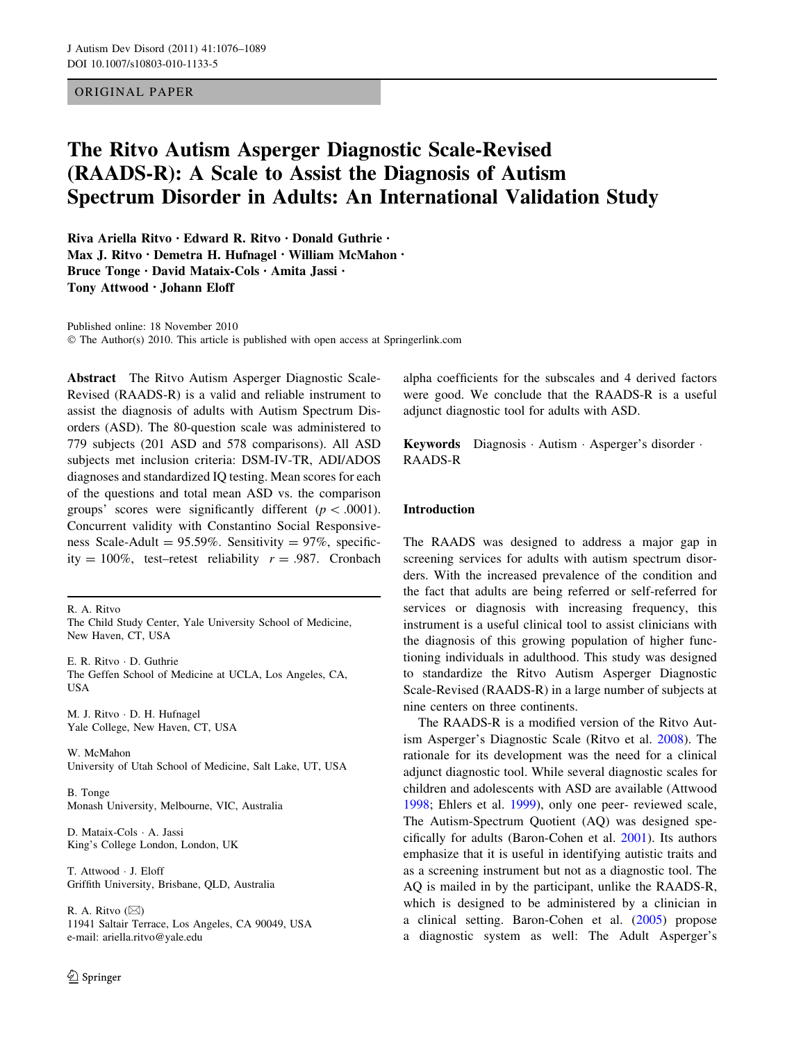## ORIGINAL PAPER

# The Ritvo Autism Asperger Diagnostic Scale-Revised (RAADS-R): A Scale to Assist the Diagnosis of Autism Spectrum Disorder in Adults: An International Validation Study

Riva Ariella Ritvo • Edward R. Ritvo • Donald Guthrie • Max J. Ritvo • Demetra H. Hufnagel • William McMahon • Bruce Tonge • David Mataix-Cols • Amita Jassi • Tony Attwood • Johann Eloff

Published online: 18 November 2010 © The Author(s) 2010. This article is published with open access at Springerlink.com

Abstract The Ritvo Autism Asperger Diagnostic Scale-Revised (RAADS-R) is a valid and reliable instrument to assist the diagnosis of adults with Autism Spectrum Disorders (ASD). The 80-question scale was administered to 779 subjects (201 ASD and 578 comparisons). All ASD subjects met inclusion criteria: DSM-IV-TR, ADI/ADOS diagnoses and standardized IQ testing. Mean scores for each of the questions and total mean ASD vs. the comparison groups' scores were significantly different ( $p < .0001$ ). Concurrent validity with Constantino Social Responsiveness Scale-Adult =  $95.59\%$ . Sensitivity =  $97\%$ , specificity = 100%, test–retest reliability  $r = .987$ . Cronbach

R. A. Ritvo

The Child Study Center, Yale University School of Medicine, New Haven, CT, USA

E. R. Ritvo - D. Guthrie The Geffen School of Medicine at UCLA, Los Angeles, CA, **USA** 

M. J. Ritvo - D. H. Hufnagel Yale College, New Haven, CT, USA

W. McMahon University of Utah School of Medicine, Salt Lake, UT, USA

B. Tonge Monash University, Melbourne, VIC, Australia

D. Mataix-Cols - A. Jassi King's College London, London, UK

T. Attwood - J. Eloff Griffith University, Brisbane, QLD, Australia

R. A. Ritvo  $(\boxtimes)$ 11941 Saltair Terrace, Los Angeles, CA 90049, USA e-mail: ariella.ritvo@yale.edu

alpha coefficients for the subscales and 4 derived factors were good. We conclude that the RAADS-R is a useful adjunct diagnostic tool for adults with ASD.

Keywords Diagnosis - Autism - Asperger's disorder - RAADS-R

## Introduction

The RAADS was designed to address a major gap in screening services for adults with autism spectrum disorders. With the increased prevalence of the condition and the fact that adults are being referred or self-referred for services or diagnosis with increasing frequency, this instrument is a useful clinical tool to assist clinicians with the diagnosis of this growing population of higher functioning individuals in adulthood. This study was designed to standardize the Ritvo Autism Asperger Diagnostic Scale-Revised (RAADS-R) in a large number of subjects at nine centers on three continents.

The RAADS-R is a modified version of the Ritvo Autism Asperger's Diagnostic Scale (Ritvo et al. [2008\)](#page-13-0). The rationale for its development was the need for a clinical adjunct diagnostic tool. While several diagnostic scales for children and adolescents with ASD are available (Attwood [1998](#page-13-0); Ehlers et al. [1999\)](#page-13-0), only one peer- reviewed scale, The Autism-Spectrum Quotient (AQ) was designed specifically for adults (Baron-Cohen et al. [2001](#page-13-0)). Its authors emphasize that it is useful in identifying autistic traits and as a screening instrument but not as a diagnostic tool. The AQ is mailed in by the participant, unlike the RAADS-R, which is designed to be administered by a clinician in a clinical setting. Baron-Cohen et al. ([2005\)](#page-13-0) propose a diagnostic system as well: The Adult Asperger's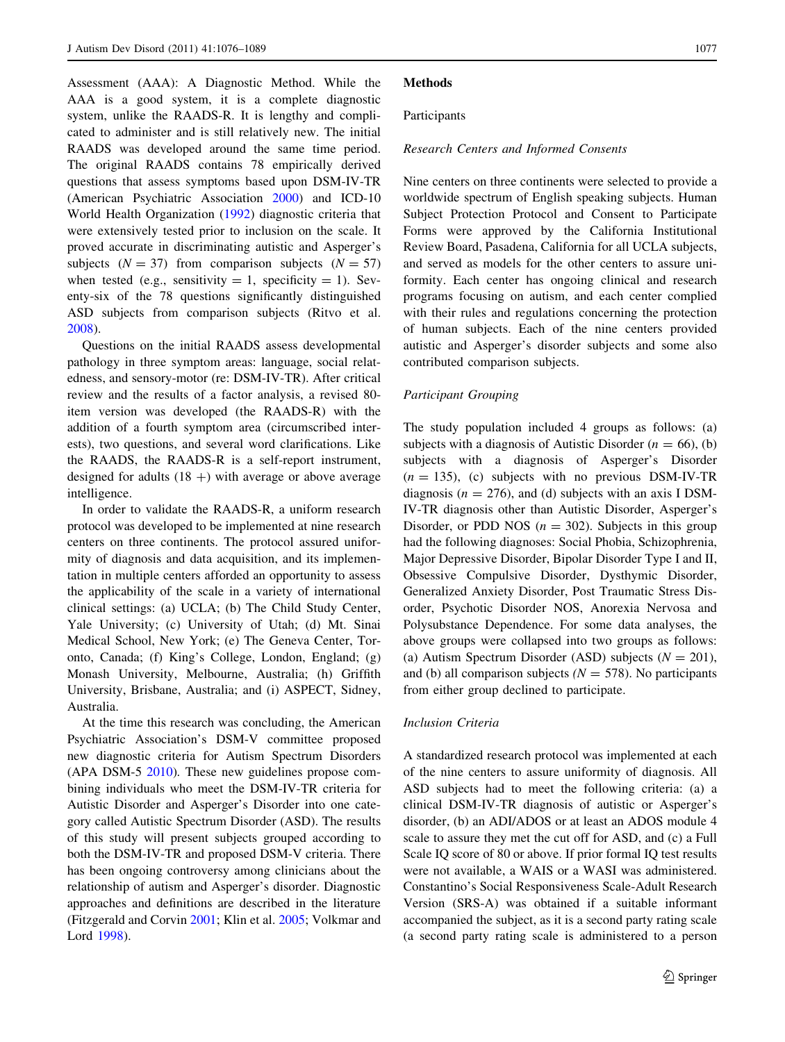Assessment (AAA): A Diagnostic Method. While the AAA is a good system, it is a complete diagnostic system, unlike the RAADS-R. It is lengthy and complicated to administer and is still relatively new. The initial RAADS was developed around the same time period. The original RAADS contains 78 empirically derived questions that assess symptoms based upon DSM-IV-TR (American Psychiatric Association [2000\)](#page-13-0) and ICD-10 World Health Organization ([1992\)](#page-13-0) diagnostic criteria that were extensively tested prior to inclusion on the scale. It proved accurate in discriminating autistic and Asperger's subjects  $(N = 37)$  from comparison subjects  $(N = 57)$ when tested (e.g., sensitivity  $= 1$ , specificity  $= 1$ ). Seventy-six of the 78 questions significantly distinguished ASD subjects from comparison subjects (Ritvo et al. [2008\)](#page-13-0).

Questions on the initial RAADS assess developmental pathology in three symptom areas: language, social relatedness, and sensory-motor (re: DSM-IV-TR). After critical review and the results of a factor analysis, a revised 80 item version was developed (the RAADS-R) with the addition of a fourth symptom area (circumscribed interests), two questions, and several word clarifications. Like the RAADS, the RAADS-R is a self-report instrument, designed for adults  $(18 +)$  with average or above average intelligence.

In order to validate the RAADS-R, a uniform research protocol was developed to be implemented at nine research centers on three continents. The protocol assured uniformity of diagnosis and data acquisition, and its implementation in multiple centers afforded an opportunity to assess the applicability of the scale in a variety of international clinical settings: (a) UCLA; (b) The Child Study Center, Yale University; (c) University of Utah; (d) Mt. Sinai Medical School, New York; (e) The Geneva Center, Toronto, Canada; (f) King's College, London, England; (g) Monash University, Melbourne, Australia; (h) Griffith University, Brisbane, Australia; and (i) ASPECT, Sidney, Australia.

At the time this research was concluding, the American Psychiatric Association's DSM-V committee proposed new diagnostic criteria for Autism Spectrum Disorders (APA DSM-5 [2010](#page-13-0)). These new guidelines propose combining individuals who meet the DSM-IV-TR criteria for Autistic Disorder and Asperger's Disorder into one category called Autistic Spectrum Disorder (ASD). The results of this study will present subjects grouped according to both the DSM-IV-TR and proposed DSM-V criteria. There has been ongoing controversy among clinicians about the relationship of autism and Asperger's disorder. Diagnostic approaches and definitions are described in the literature (Fitzgerald and Corvin [2001](#page-13-0); Klin et al. [2005;](#page-13-0) Volkmar and Lord [1998\)](#page-13-0).

#### **Methods**

#### Participants

## Research Centers and Informed Consents

Nine centers on three continents were selected to provide a worldwide spectrum of English speaking subjects. Human Subject Protection Protocol and Consent to Participate Forms were approved by the California Institutional Review Board, Pasadena, California for all UCLA subjects, and served as models for the other centers to assure uniformity. Each center has ongoing clinical and research programs focusing on autism, and each center complied with their rules and regulations concerning the protection of human subjects. Each of the nine centers provided autistic and Asperger's disorder subjects and some also contributed comparison subjects.

#### Participant Grouping

The study population included 4 groups as follows: (a) subjects with a diagnosis of Autistic Disorder ( $n = 66$ ), (b) subjects with a diagnosis of Asperger's Disorder  $(n = 135)$ , (c) subjects with no previous DSM-IV-TR diagnosis ( $n = 276$ ), and (d) subjects with an axis I DSM-IV-TR diagnosis other than Autistic Disorder, Asperger's Disorder, or PDD NOS  $(n = 302)$ . Subjects in this group had the following diagnoses: Social Phobia, Schizophrenia, Major Depressive Disorder, Bipolar Disorder Type I and II, Obsessive Compulsive Disorder, Dysthymic Disorder, Generalized Anxiety Disorder, Post Traumatic Stress Disorder, Psychotic Disorder NOS, Anorexia Nervosa and Polysubstance Dependence. For some data analyses, the above groups were collapsed into two groups as follows: (a) Autism Spectrum Disorder (ASD) subjects  $(N = 201)$ , and (b) all comparison subjects ( $N = 578$ ). No participants from either group declined to participate.

#### Inclusion Criteria

A standardized research protocol was implemented at each of the nine centers to assure uniformity of diagnosis. All ASD subjects had to meet the following criteria: (a) a clinical DSM-IV-TR diagnosis of autistic or Asperger's disorder, (b) an ADI/ADOS or at least an ADOS module 4 scale to assure they met the cut off for ASD, and (c) a Full Scale IQ score of 80 or above. If prior formal IQ test results were not available, a WAIS or a WASI was administered. Constantino's Social Responsiveness Scale-Adult Research Version (SRS-A) was obtained if a suitable informant accompanied the subject, as it is a second party rating scale (a second party rating scale is administered to a person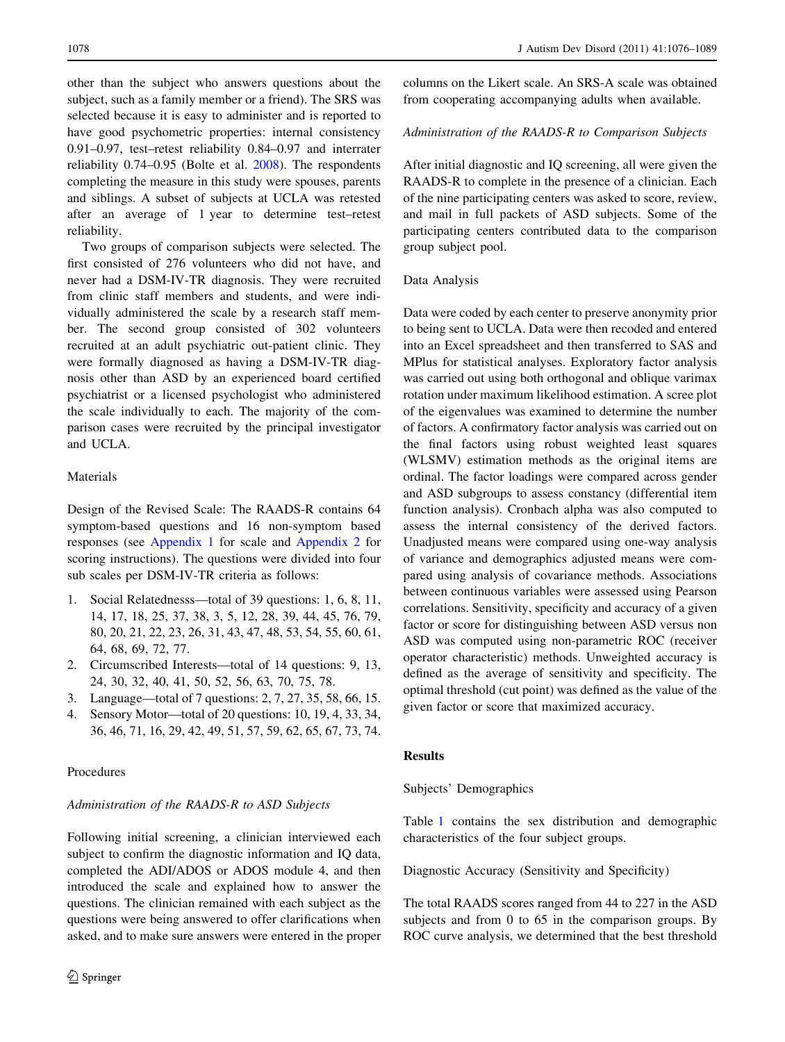other than the subject who answers questions about the subject, such as a family member or a friend). The SRS was selected because it is easy to administer and is reported to have good psychometric properties: internal consistency 0.91–0.97, test–retest reliability 0.84–0.97 and interrater reliability 0.74–0.95 (Bolte et al. [2008](#page-13-0)). The respondents completing the measure in this study were spouses, parents and siblings. A subset of subjects at UCLA was retested after an average of 1 year to determine test–retest reliability.

Two groups of comparison subjects were selected. The first consisted of 276 volunteers who did not have, and never had a DSM-IV-TR diagnosis. They were recruited from clinic staff members and students, and were individually administered the scale by a research staff member. The second group consisted of 302 volunteers recruited at an adult psychiatric out-patient clinic. They were formally diagnosed as having a DSM-IV-TR diagnosis other than ASD by an experienced board certified psychiatrist or a licensed psychologist who administered the scale individually to each. The majority of the comparison cases were recruited by the principal investigator and UCLA.

## Materials

Design of the Revised Scale: The RAADS-R contains 64 symptom-based questions and 16 non-symptom based responses (see [Appendix 1](#page-7-0) for scale and [Appendix 2](#page-12-0) for scoring instructions). The questions were divided into four sub scales per DSM-IV-TR criteria as follows:

- 1. Social Relatednesss—total of 39 questions: 1, 6, 8, 11, 14, 17, 18, 25, 37, 38, 3, 5, 12, 28, 39, 44, 45, 76, 79, 80, 20, 21, 22, 23, 26, 31, 43, 47, 48, 53, 54, 55, 60, 61, 64, 68, 69, 72, 77.
- 2. Circumscribed Interests—total of 14 questions: 9, 13, 24, 30, 32, 40, 41, 50, 52, 56, 63, 70, 75, 78.
- 3. Language—total of 7 questions: 2, 7, 27, 35, 58, 66, 15.
- 4. Sensory Motor—total of 20 questions: 10, 19, 4, 33, 34, 36, 46, 71, 16, 29, 42, 49, 51, 57, 59, 62, 65, 67, 73, 74.

## Procedures

#### Administration of the RAADS-R to ASD Subjects

Following initial screening, a clinician interviewed each subject to confirm the diagnostic information and IQ data, completed the ADI/ADOS or ADOS module 4, and then introduced the scale and explained how to answer the questions. The clinician remained with each subject as the questions were being answered to offer clarifications when asked, and to make sure answers were entered in the proper columns on the Likert scale. An SRS-A scale was obtained from cooperating accompanying adults when available.

## Administration of the RAADS-R to Comparison Subjects

After initial diagnostic and IQ screening, all were given the RAADS-R to complete in the presence of a clinician. Each of the nine participating centers was asked to score, review, and mail in full packets of ASD subjects. Some of the participating centers contributed data to the comparison group subject pool.

#### Data Analysis

Data were coded by each center to preserve anonymity prior to being sent to UCLA. Data were then recoded and entered into an Excel spreadsheet and then transferred to SAS and MPlus for statistical analyses. Exploratory factor analysis was carried out using both orthogonal and oblique varimax rotation under maximum likelihood estimation. A scree plot of the eigenvalues was examined to determine the number of factors. A confirmatory factor analysis was carried out on the final factors using robust weighted least squares (WLSMV) estimation methods as the original items are ordinal. The factor loadings were compared across gender and ASD subgroups to assess constancy (differential item function analysis). Cronbach alpha was also computed to assess the internal consistency of the derived factors. Unadjusted means were compared using one-way analysis of variance and demographics adjusted means were compared using analysis of covariance methods. Associations between continuous variables were assessed using Pearson correlations. Sensitivity, specificity and accuracy of a given factor or score for distinguishing between ASD versus non ASD was computed using non-parametric ROC (receiver operator characteristic) methods. Unweighted accuracy is defined as the average of sensitivity and specificity. The optimal threshold (cut point) was defined as the value of the given factor or score that maximized accuracy.

## Results

## Subjects' Demographics

Table [1](#page-3-0) contains the sex distribution and demographic characteristics of the four subject groups.

Diagnostic Accuracy (Sensitivity and Specificity)

The total RAADS scores ranged from 44 to 227 in the ASD subjects and from 0 to 65 in the comparison groups. By ROC curve analysis, we determined that the best threshold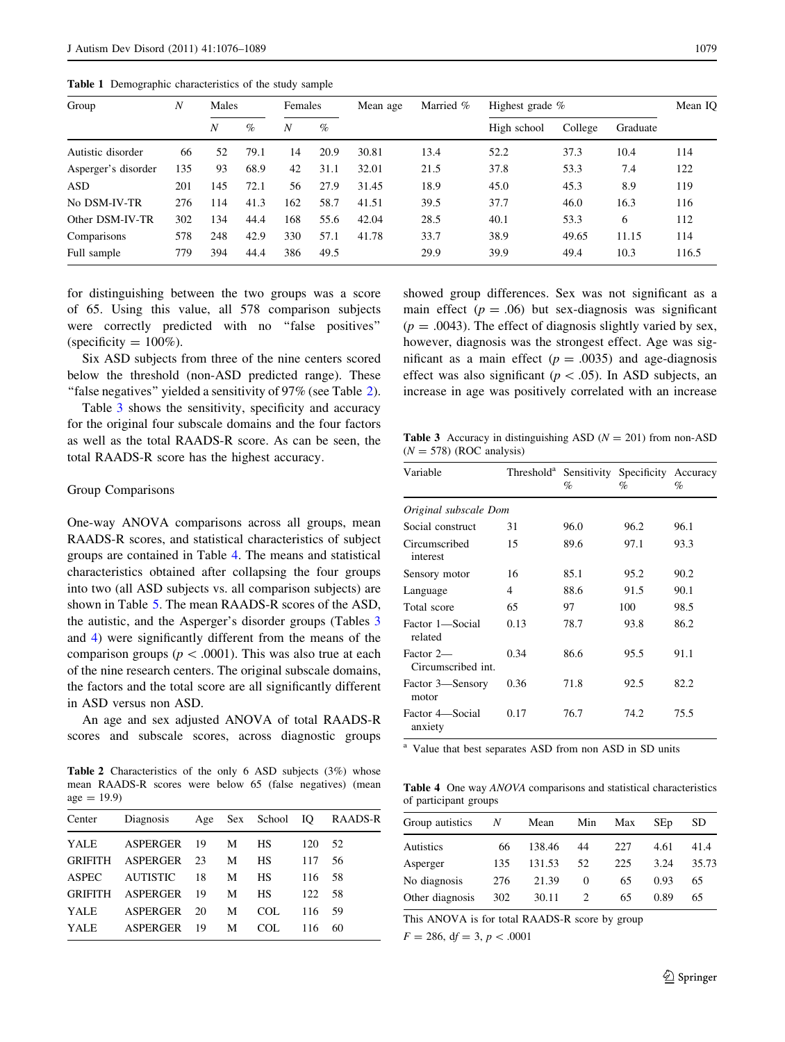<span id="page-3-0"></span>Table 1 Demographic characteristics of the study sample

| Group               | $\boldsymbol{N}$ | Males |      | Females          |      | Mean age | Married % | Highest grade $%$ |         |          | Mean IQ |
|---------------------|------------------|-------|------|------------------|------|----------|-----------|-------------------|---------|----------|---------|
|                     |                  | N     | $\%$ | $\boldsymbol{N}$ | $\%$ |          |           | High school       | College | Graduate |         |
| Autistic disorder   | 66               | 52    | 79.1 | 14               | 20.9 | 30.81    | 13.4      | 52.2              | 37.3    | 10.4     | 114     |
| Asperger's disorder | 135              | 93    | 68.9 | 42               | 31.1 | 32.01    | 21.5      | 37.8              | 53.3    | 7.4      | 122     |
| <b>ASD</b>          | 201              | 145   | 72.1 | 56               | 27.9 | 31.45    | 18.9      | 45.0              | 45.3    | 8.9      | 119     |
| No DSM-IV-TR        | 276              | 114   | 41.3 | 162              | 58.7 | 41.51    | 39.5      | 37.7              | 46.0    | 16.3     | 116     |
| Other DSM-IV-TR     | 302              | 134   | 44.4 | 168              | 55.6 | 42.04    | 28.5      | 40.1              | 53.3    | 6        | 112     |
| Comparisons         | 578              | 248   | 42.9 | 330              | 57.1 | 41.78    | 33.7      | 38.9              | 49.65   | 11.15    | 114     |
| Full sample         | 779              | 394   | 44.4 | 386              | 49.5 |          | 29.9      | 39.9              | 49.4    | 10.3     | 116.5   |

for distinguishing between the two groups was a score of 65. Using this value, all 578 comparison subjects were correctly predicted with no "false positives" (specificity  $= 100\%$ ).

Six ASD subjects from three of the nine centers scored below the threshold (non-ASD predicted range). These ''false negatives'' yielded a sensitivity of 97% (see Table 2).

Table 3 shows the sensitivity, specificity and accuracy for the original four subscale domains and the four factors as well as the total RAADS-R score. As can be seen, the total RAADS-R score has the highest accuracy.

#### Group Comparisons

One-way ANOVA comparisons across all groups, mean RAADS-R scores, and statistical characteristics of subject groups are contained in Table 4. The means and statistical characteristics obtained after collapsing the four groups into two (all ASD subjects vs. all comparison subjects) are shown in Table [5.](#page-4-0) The mean RAADS-R scores of the ASD, the autistic, and the Asperger's disorder groups (Tables 3 and 4) were significantly different from the means of the comparison groups ( $p < .0001$ ). This was also true at each of the nine research centers. The original subscale domains, the factors and the total score are all significantly different in ASD versus non ASD.

An age and sex adjusted ANOVA of total RAADS-R scores and subscale scores, across diagnostic groups

Table 2 Characteristics of the only 6 ASD subjects (3%) whose mean RAADS-R scores were below 65 (false negatives) (mean  $age = 19.9$ 

| Center | Diagnosis Age Sex School IQ RAADS-R |     |           |     |     |
|--------|-------------------------------------|-----|-----------|-----|-----|
|        | YALE ASPERGER 19 M                  |     | <b>HS</b> | 120 | -52 |
|        | GRIFITH ASPERGER 23 M               |     | <b>HS</b> | 117 | 56  |
| ASPEC  | AUTISTIC 18                         | M   | <b>HS</b> | 116 | -58 |
|        | GRIFITH ASPERGER 19                 | M   | <b>HS</b> | 122 | -58 |
| YALE   | ASPERGER 20                         | M   | COL.      | 116 | -59 |
|        | YALE ASPERGER 19                    | M — | COL.      | 116 | 60  |
|        |                                     |     |           |     |     |

showed group differences. Sex was not significant as a main effect  $(p = .06)$  but sex-diagnosis was significant  $(p = .0043)$ . The effect of diagnosis slightly varied by sex. however, diagnosis was the strongest effect. Age was significant as a main effect ( $p = .0035$ ) and age-diagnosis effect was also significant ( $p < .05$ ). In ASD subjects, an increase in age was positively correlated with an increase

**Table 3** Accuracy in distinguishing ASD ( $N = 201$ ) from non-ASD  $(N = 578)$  (ROC analysis)

| Variable                           |      | Threshold <sup>a</sup> Sensitivity Specificity<br>% | %    | Accuracy<br>% |
|------------------------------------|------|-----------------------------------------------------|------|---------------|
| Original subscale Dom              |      |                                                     |      |               |
| Social construct                   | 31   | 96.0                                                | 96.2 | 96.1          |
| Circumscribed<br>interest          | 15   | 89.6                                                | 97.1 | 93.3          |
| Sensory motor                      | 16   | 85.1                                                | 95.2 | 90.2          |
| Language                           | 4    | 88.6                                                | 91.5 | 90.1          |
| Total score                        | 65   | 97                                                  | 100  | 98.5          |
| Factor 1-Social<br>related         | 0.13 | 78.7                                                | 93.8 | 86.2          |
| $Factor 2$ —<br>Circumscribed int. | 0.34 | 86.6                                                | 95.5 | 91.1          |
| Factor 3-Sensory<br>motor          | 0.36 | 71.8                                                | 92.5 | 82.2          |
| Factor 4—Social<br>anxiety         | 0.17 | 76.7                                                | 74.2 | 75.5          |

<sup>a</sup> Value that best separates ASD from non ASD in SD units

Table 4 One way ANOVA comparisons and statistical characteristics of participant groups

| Group autistics | Ν   | Mean   | Min            | Max | <b>SEp</b> | SD    |
|-----------------|-----|--------|----------------|-----|------------|-------|
| Autistics       | 66  | 138.46 | 44             | 227 | 4.61       | 41.4  |
| Asperger        | 135 | 131.53 | 52             | 225 | 3.24       | 35.73 |
| No diagnosis    | 276 | 21.39  | 0              | 65  | 0.93       | 65    |
| Other diagnosis | 302 | 30.11  | $\mathfrak{D}$ | 65  | 0.89       | 65    |
|                 |     |        |                |     |            |       |

This ANOVA is for total RAADS-R score by group  $F = 286$ ,  $df = 3$ ,  $p < .0001$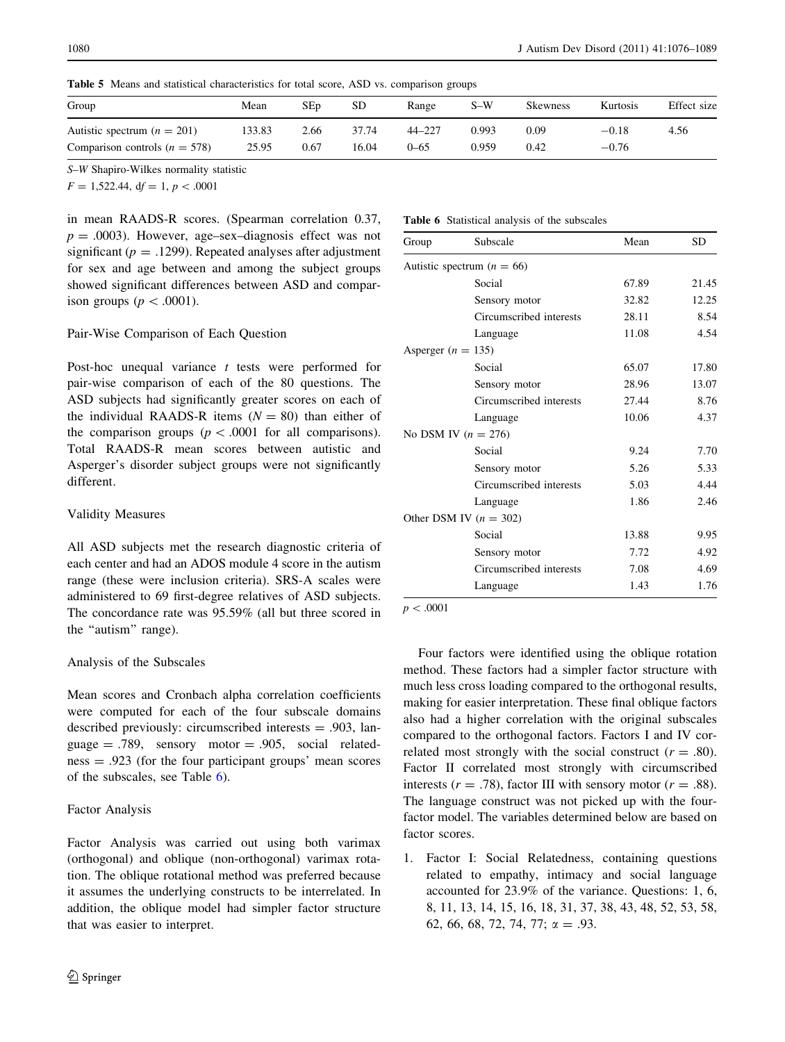<span id="page-4-0"></span>Table 5 Means and statistical characteristics for total score, ASD vs. comparison groups

| Group                             | Mean   | SEp  | SD    | Range      | $S-W$ | <b>Skewness</b> | Kurtosis | Effect size |
|-----------------------------------|--------|------|-------|------------|-------|-----------------|----------|-------------|
| Autistic spectrum $(n = 201)$     | 133.83 | 2.66 | 37.74 | $44 - 227$ | 0.993 | 0.09            | $-0.18$  | 4.56        |
| Comparison controls ( $n = 578$ ) | 25.95  | 0.67 | 16.04 | $0 - 65$   | 0.959 | 0.42            | $-0.76$  |             |

S–W Shapiro-Wilkes normality statistic

 $F = 1,522.44, df = 1, p \lt 0.0001$ 

in mean RAADS-R scores. (Spearman correlation 0.37,  $p = .0003$ ). However, age–sex–diagnosis effect was not significant ( $p = .1299$ ). Repeated analyses after adjustment for sex and age between and among the subject groups showed significant differences between ASD and comparison groups ( $p\lt$  .0001).

## Pair-Wise Comparison of Each Question

Post-hoc unequal variance *t* tests were performed for pair-wise comparison of each of the 80 questions. The ASD subjects had significantly greater scores on each of the individual RAADS-R items  $(N = 80)$  than either of the comparison groups ( $p < .0001$  for all comparisons). Total RAADS-R mean scores between autistic and Asperger's disorder subject groups were not significantly different.

## Validity Measures

All ASD subjects met the research diagnostic criteria of each center and had an ADOS module 4 score in the autism range (these were inclusion criteria). SRS-A scales were administered to 69 first-degree relatives of ASD subjects. The concordance rate was 95.59% (all but three scored in the "autism" range).

## Analysis of the Subscales

Mean scores and Cronbach alpha correlation coefficients were computed for each of the four subscale domains described previously: circumscribed interests = .903, language  $= .789$ , sensory motor  $= .905$ , social relatedness = .923 (for the four participant groups' mean scores of the subscales, see Table 6).

## Factor Analysis

Factor Analysis was carried out using both varimax (orthogonal) and oblique (non-orthogonal) varimax rotation. The oblique rotational method was preferred because it assumes the underlying constructs to be interrelated. In addition, the oblique model had simpler factor structure that was easier to interpret.

#### Table 6 Statistical analysis of the subscales

| Group                | Subscale                       | Mean  | <b>SD</b> |
|----------------------|--------------------------------|-------|-----------|
|                      | Autistic spectrum ( $n = 66$ ) |       |           |
|                      | Social                         | 67.89 | 21.45     |
|                      | Sensory motor                  | 32.82 | 12.25     |
|                      | Circumscribed interests        | 28.11 | 8.54      |
|                      | Language                       | 11.08 | 4.54      |
| Asperger $(n = 135)$ |                                |       |           |
|                      | Social                         | 65.07 | 17.80     |
|                      | Sensory motor                  | 28.96 | 13.07     |
|                      | Circumscribed interests        | 27.44 | 8.76      |
|                      | Language                       | 10.06 | 4.37      |
|                      | No DSM IV $(n = 276)$          |       |           |
|                      | Social                         | 9.24  | 7.70      |
|                      | Sensory motor                  | 5.26  | 5.33      |
|                      | Circumscribed interests        | 5.03  | 4.44      |
|                      | Language                       | 1.86  | 2.46      |
|                      | Other DSM IV $(n = 302)$       |       |           |
|                      | Social                         | 13.88 | 9.95      |
|                      | Sensory motor                  | 7.72  | 4.92      |
|                      | Circumscribed interests        | 7.08  | 4.69      |
|                      | Language                       | 1.43  | 1.76      |

 $p < .0001$ 

Four factors were identified using the oblique rotation method. These factors had a simpler factor structure with much less cross loading compared to the orthogonal results, making for easier interpretation. These final oblique factors also had a higher correlation with the original subscales compared to the orthogonal factors. Factors I and IV correlated most strongly with the social construct  $(r = .80)$ . Factor II correlated most strongly with circumscribed interests ( $r = .78$ ), factor III with sensory motor ( $r = .88$ ). The language construct was not picked up with the fourfactor model. The variables determined below are based on factor scores.

1. Factor I: Social Relatedness, containing questions related to empathy, intimacy and social language accounted for 23.9% of the variance. Questions: 1, 6, 8, 11, 13, 14, 15, 16, 18, 31, 37, 38, 43, 48, 52, 53, 58, 62, 66, 68, 72, 74, 77;  $\alpha = .93$ .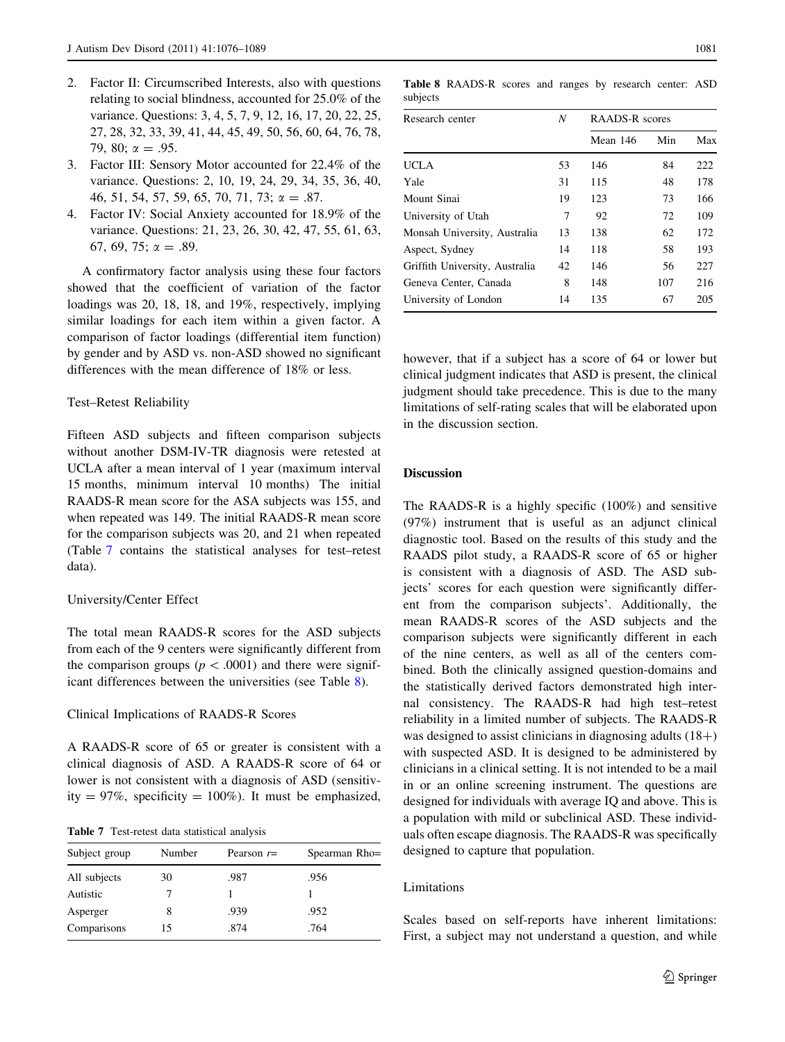- 2. Factor II: Circumscribed Interests, also with questions relating to social blindness, accounted for 25.0% of the variance. Questions: 3, 4, 5, 7, 9, 12, 16, 17, 20, 22, 25, 27, 28, 32, 33, 39, 41, 44, 45, 49, 50, 56, 60, 64, 76, 78, 79, 80;  $\alpha = .95$ .
- 3. Factor III: Sensory Motor accounted for 22.4% of the variance. Questions: 2, 10, 19, 24, 29, 34, 35, 36, 40, 46, 51, 54, 57, 59, 65, 70, 71, 73;  $\alpha = .87$ .
- 4. Factor IV: Social Anxiety accounted for 18.9% of the variance. Questions: 21, 23, 26, 30, 42, 47, 55, 61, 63, 67, 69, 75;  $\alpha = .89$ .

A confirmatory factor analysis using these four factors showed that the coefficient of variation of the factor loadings was 20, 18, 18, and 19%, respectively, implying similar loadings for each item within a given factor. A comparison of factor loadings (differential item function) by gender and by ASD vs. non-ASD showed no significant differences with the mean difference of 18% or less.

#### Test–Retest Reliability

Fifteen ASD subjects and fifteen comparison subjects without another DSM-IV-TR diagnosis were retested at UCLA after a mean interval of 1 year (maximum interval 15 months, minimum interval 10 months) The initial RAADS-R mean score for the ASA subjects was 155, and when repeated was 149. The initial RAADS-R mean score for the comparison subjects was 20, and 21 when repeated (Table 7 contains the statistical analyses for test–retest data).

#### University/Center Effect

The total mean RAADS-R scores for the ASD subjects from each of the 9 centers were significantly different from the comparison groups ( $p < .0001$ ) and there were significant differences between the universities (see Table 8).

#### Clinical Implications of RAADS-R Scores

A RAADS-R score of 65 or greater is consistent with a clinical diagnosis of ASD. A RAADS-R score of 64 or lower is not consistent with a diagnosis of ASD (sensitivity = 97%, specificity = 100%). It must be emphasized,

Table 7 Test-retest data statistical analysis

| Subject group | Number | Pearson $r=$ | Spearman Rho= |
|---------------|--------|--------------|---------------|
| All subjects  | 30     | .987         | .956          |
| Autistic      |        |              |               |
| Asperger      | 8      | .939         | .952          |
| Comparisons   | 15     | .874         | .764          |

Table 8 RAADS-R scores and ranges by research center: ASD subjects

| Research center                | N  | <b>RAADS-R</b> scores |     |     |
|--------------------------------|----|-----------------------|-----|-----|
|                                |    | Mean 146              | Min | Max |
| <b>UCLA</b>                    | 53 | 146                   | 84  | 222 |
| Yale                           | 31 | 115                   | 48  | 178 |
| Mount Sinai                    | 19 | 123                   | 73  | 166 |
| University of Utah             | 7  | 92                    | 72  | 109 |
| Monsah University, Australia   | 13 | 138                   | 62  | 172 |
| Aspect, Sydney                 | 14 | 118                   | 58  | 193 |
| Griffith University, Australia | 42 | 146                   | 56  | 227 |
| Geneva Center, Canada          | 8  | 148                   | 107 | 216 |
| University of London           | 14 | 135                   | 67  | 205 |

however, that if a subject has a score of 64 or lower but clinical judgment indicates that ASD is present, the clinical judgment should take precedence. This is due to the many limitations of self-rating scales that will be elaborated upon in the discussion section.

# **Discussion**

The RAADS-R is a highly specific (100%) and sensitive (97%) instrument that is useful as an adjunct clinical diagnostic tool. Based on the results of this study and the RAADS pilot study, a RAADS-R score of 65 or higher is consistent with a diagnosis of ASD. The ASD subjects' scores for each question were significantly different from the comparison subjects'. Additionally, the mean RAADS-R scores of the ASD subjects and the comparison subjects were significantly different in each of the nine centers, as well as all of the centers combined. Both the clinically assigned question-domains and the statistically derived factors demonstrated high internal consistency. The RAADS-R had high test–retest reliability in a limited number of subjects. The RAADS-R was designed to assist clinicians in diagnosing adults  $(18+)$ with suspected ASD. It is designed to be administered by clinicians in a clinical setting. It is not intended to be a mail in or an online screening instrument. The questions are designed for individuals with average IQ and above. This is a population with mild or subclinical ASD. These individuals often escape diagnosis. The RAADS-R was specifically designed to capture that population.

## Limitations

Scales based on self-reports have inherent limitations: First, a subject may not understand a question, and while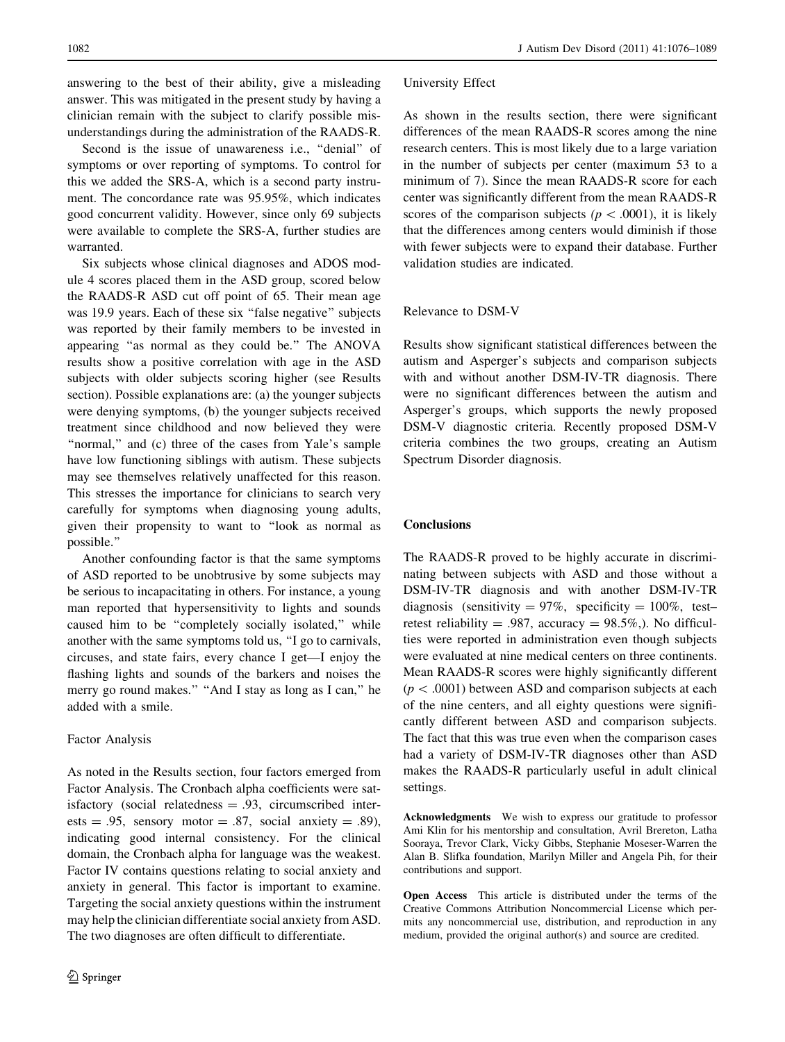answering to the best of their ability, give a misleading answer. This was mitigated in the present study by having a clinician remain with the subject to clarify possible misunderstandings during the administration of the RAADS-R.

Second is the issue of unawareness i.e., "denial" of symptoms or over reporting of symptoms. To control for this we added the SRS-A, which is a second party instrument. The concordance rate was 95.95%, which indicates good concurrent validity. However, since only 69 subjects were available to complete the SRS-A, further studies are warranted.

Six subjects whose clinical diagnoses and ADOS module 4 scores placed them in the ASD group, scored below the RAADS-R ASD cut off point of 65. Their mean age was 19.9 years. Each of these six "false negative" subjects was reported by their family members to be invested in appearing ''as normal as they could be.'' The ANOVA results show a positive correlation with age in the ASD subjects with older subjects scoring higher (see Results section). Possible explanations are: (a) the younger subjects were denying symptoms, (b) the younger subjects received treatment since childhood and now believed they were "normal," and (c) three of the cases from Yale's sample have low functioning siblings with autism. These subjects may see themselves relatively unaffected for this reason. This stresses the importance for clinicians to search very carefully for symptoms when diagnosing young adults, given their propensity to want to ''look as normal as possible.''

Another confounding factor is that the same symptoms of ASD reported to be unobtrusive by some subjects may be serious to incapacitating in others. For instance, a young man reported that hypersensitivity to lights and sounds caused him to be ''completely socially isolated,'' while another with the same symptoms told us, ''I go to carnivals, circuses, and state fairs, every chance I get—I enjoy the flashing lights and sounds of the barkers and noises the merry go round makes." "And I stay as long as I can," he added with a smile.

## Factor Analysis

As noted in the Results section, four factors emerged from Factor Analysis. The Cronbach alpha coefficients were satisfactory (social relatedness = .93, circumscribed interests = .95, sensory motor = .87, social anxiety = .89), indicating good internal consistency. For the clinical domain, the Cronbach alpha for language was the weakest. Factor IV contains questions relating to social anxiety and anxiety in general. This factor is important to examine. Targeting the social anxiety questions within the instrument may help the clinician differentiate social anxiety from ASD. The two diagnoses are often difficult to differentiate.

#### University Effect

As shown in the results section, there were significant differences of the mean RAADS-R scores among the nine research centers. This is most likely due to a large variation in the number of subjects per center (maximum 53 to a minimum of 7). Since the mean RAADS-R score for each center was significantly different from the mean RAADS-R scores of the comparison subjects ( $p < .0001$ ), it is likely that the differences among centers would diminish if those with fewer subjects were to expand their database. Further validation studies are indicated.

#### Relevance to DSM-V

Results show significant statistical differences between the autism and Asperger's subjects and comparison subjects with and without another DSM-IV-TR diagnosis. There were no significant differences between the autism and Asperger's groups, which supports the newly proposed DSM-V diagnostic criteria. Recently proposed DSM-V criteria combines the two groups, creating an Autism Spectrum Disorder diagnosis.

## **Conclusions**

The RAADS-R proved to be highly accurate in discriminating between subjects with ASD and those without a DSM-IV-TR diagnosis and with another DSM-IV-TR diagnosis (sensitivity  $= 97\%$ , specificity  $= 100\%$ , testretest reliability = .987, accuracy =  $98.5\%$ ). No difficulties were reported in administration even though subjects were evaluated at nine medical centers on three continents. Mean RAADS-R scores were highly significantly different  $(p < .0001)$  between ASD and comparison subjects at each of the nine centers, and all eighty questions were significantly different between ASD and comparison subjects. The fact that this was true even when the comparison cases had a variety of DSM-IV-TR diagnoses other than ASD makes the RAADS-R particularly useful in adult clinical settings.

Acknowledgments We wish to express our gratitude to professor Ami Klin for his mentorship and consultation, Avril Brereton, Latha Sooraya, Trevor Clark, Vicky Gibbs, Stephanie Moseser-Warren the Alan B. Slifka foundation, Marilyn Miller and Angela Pih, for their contributions and support.

Open Access This article is distributed under the terms of the Creative Commons Attribution Noncommercial License which permits any noncommercial use, distribution, and reproduction in any medium, provided the original author(s) and source are credited.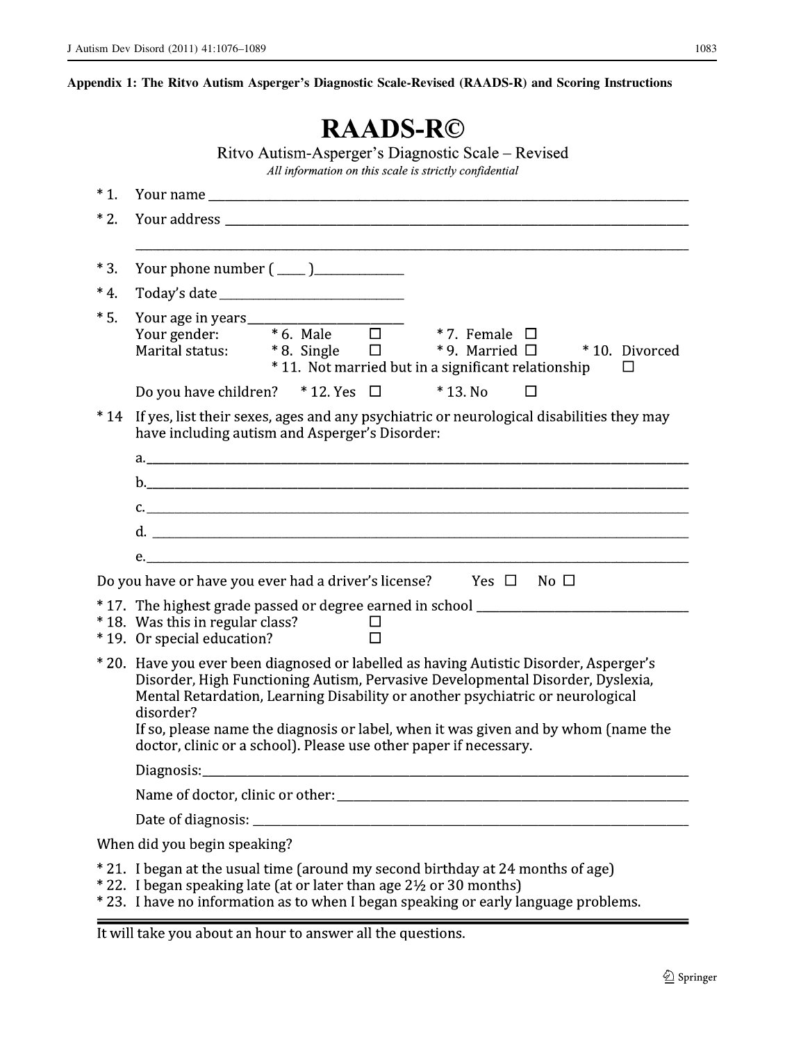<span id="page-7-0"></span>Appendix 1: The Ritvo Autism Asperger's Diagnostic Scale-Revised (RAADS-R) and Scoring Instructions

**RAADS-R©** Ritvo Autism-Asperger's Diagnostic Scale – Revised All information on this scale is strictly confidential  $*2.$  $*3.$ Your phone number  $(\_\_)$ Today's date  $*4.$  $*5.$ Your age in years\_  $*6.$  Male  $\overline{\mathsf{B}}$  $*7.$  Female  $\Box$ Your gender: \* 8. Single \* 10. Divorced Marital status:  $*$  9. Married  $\square$ \*11. Not married but in a significant relationship  $\Box$ Do you have children? \* 12. Yes  $\Box$  $*$  13. No  $\Box$ \*14 If yes, list their sexes, ages and any psychiatric or neurological disabilities they may have including autism and Asperger's Disorder:  $a.$  $\mathbf b$ .  $\mathbf{C}$ .  $\mathbf{C}$ .  $\mathbf{C}$ .  $\mathbf{C}$ .  $\mathbf{C}$ .  $\mathbf{C}$ .  $\mathbf{C}$ .  $\mathbf{C}$ .  $\mathbf{C}$ .  $\mathbf{C}$ .  $\mathbf{C}$ .  $\mathbf{C}$ .  $\mathbf{C}$ .  $\mathbf{C}$ .  $\mathbf{C}$ .  $\mathbf{C}$ .  $\mathbf{C}$ .  $\mathbf{C}$ .  $\mathbf{C}$ .  $\mathbf{C}$ .  $\mathbf{C}$ .  $\mathbf{C}$ .  $e_{i}$ Do you have or have you ever had a driver's license? Yes  $\Box$  No  $\Box$ \*17. The highest grade passed or degree earned in school \* 18. Was this in regular class?  $\Box$ \*19. Or special education?  $\Box$ \* 20. Have you ever been diagnosed or labelled as having Autistic Disorder, Asperger's Disorder, High Functioning Autism, Pervasive Developmental Disorder, Dyslexia, Mental Retardation, Learning Disability or another psychiatric or neurological disorder? If so, please name the diagnosis or label, when it was given and by whom (name the doctor, clinic or a school). Please use other paper if necessary. Diagnosis: Date of diagnosis: \_\_\_\_\_\_\_\_ When did you begin speaking? \*21. I began at the usual time (around my second birthday at 24 months of age) \* 22. I began speaking late (at or later than age 2½ or 30 months) \*23. I have no information as to when I began speaking or early language problems.

It will take you about an hour to answer all the questions.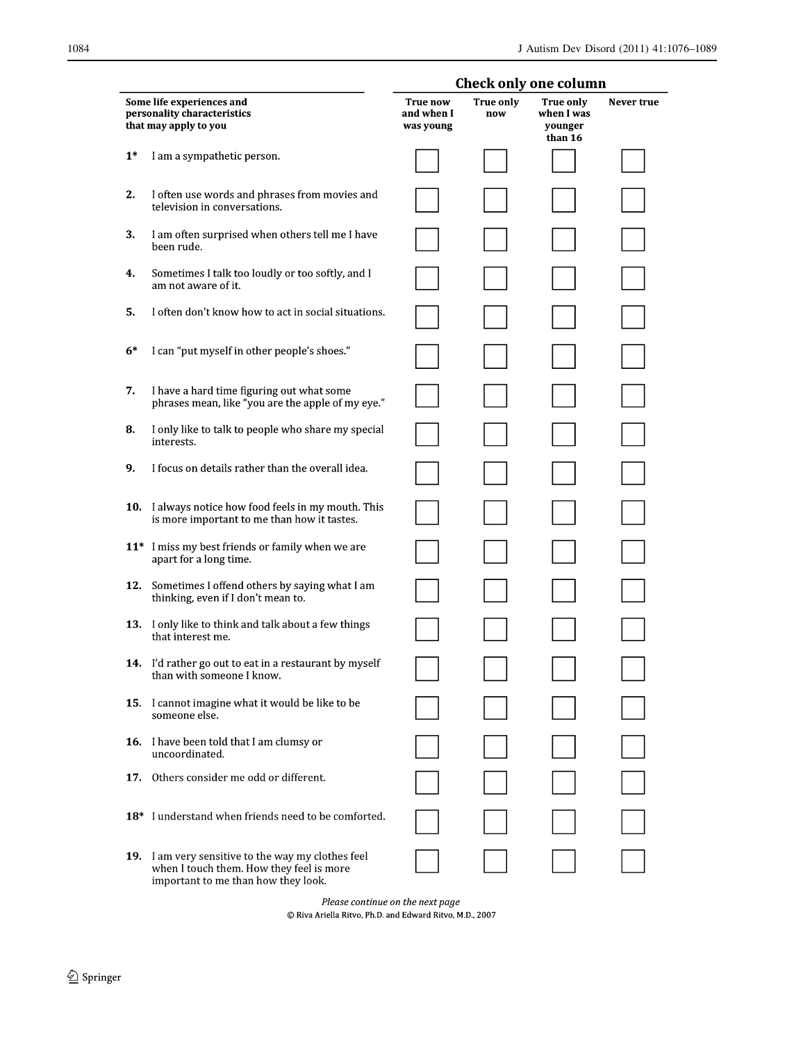|        |                                                                                                                                   |                                     |                  | <b>Check only one column</b>                  |            |
|--------|-----------------------------------------------------------------------------------------------------------------------------------|-------------------------------------|------------------|-----------------------------------------------|------------|
|        | Some life experiences and<br>personality characteristics<br>that may apply to you                                                 | True now<br>and when I<br>was young | True only<br>now | True only<br>when I was<br>younger<br>than 16 | Never true |
| $1^*$  | I am a sympathetic person.                                                                                                        |                                     |                  |                                               |            |
| 2.     | I often use words and phrases from movies and<br>television in conversations.                                                     |                                     |                  |                                               |            |
| 3.     | I am often surprised when others tell me I have<br>been rude.                                                                     |                                     |                  |                                               |            |
| 4.     | Sometimes I talk too loudly or too softly, and I<br>am not aware of it.                                                           |                                     |                  |                                               |            |
| 5.     | I often don't know how to act in social situations.                                                                               |                                     |                  |                                               |            |
| 6*     | I can "put myself in other people's shoes."                                                                                       |                                     |                  |                                               |            |
| 7.     | I have a hard time figuring out what some<br>phrases mean, like "you are the apple of my eye."                                    |                                     |                  |                                               |            |
| 8.     | I only like to talk to people who share my special<br>interests.                                                                  |                                     |                  |                                               |            |
| 9.     | I focus on details rather than the overall idea.                                                                                  |                                     |                  |                                               |            |
| 10.    | I always notice how food feels in my mouth. This<br>is more important to me than how it tastes.                                   |                                     |                  |                                               |            |
| $11^*$ | I miss my best friends or family when we are<br>apart for a long time.                                                            |                                     |                  |                                               |            |
| 12.    | Sometimes I offend others by saying what I am<br>thinking, even if I don't mean to.                                               |                                     |                  |                                               |            |
| 13.    | I only like to think and talk about a few things<br>that interest me.                                                             |                                     |                  |                                               |            |
| 14.    | I'd rather go out to eat in a restaurant by myself<br>than with someone I know.                                                   |                                     |                  |                                               |            |
| 15.    | I cannot imagine what it would be like to be<br>someone else.                                                                     |                                     |                  |                                               |            |
|        | <b>16.</b> I have been told that I am clumsy or<br>uncoordinated.                                                                 |                                     |                  |                                               |            |
| 17.    | Others consider me odd or different.                                                                                              |                                     |                  |                                               |            |
|        | 18* I understand when friends need to be comforted.                                                                               |                                     |                  |                                               |            |
| 19.    | I am very sensitive to the way my clothes feel<br>when I touch them. How they feel is more<br>important to me than how they look. |                                     |                  |                                               |            |

Please continue on the next page © Riva Ariella Ritvo, Ph.D. and Edward Ritvo, M.D., 2007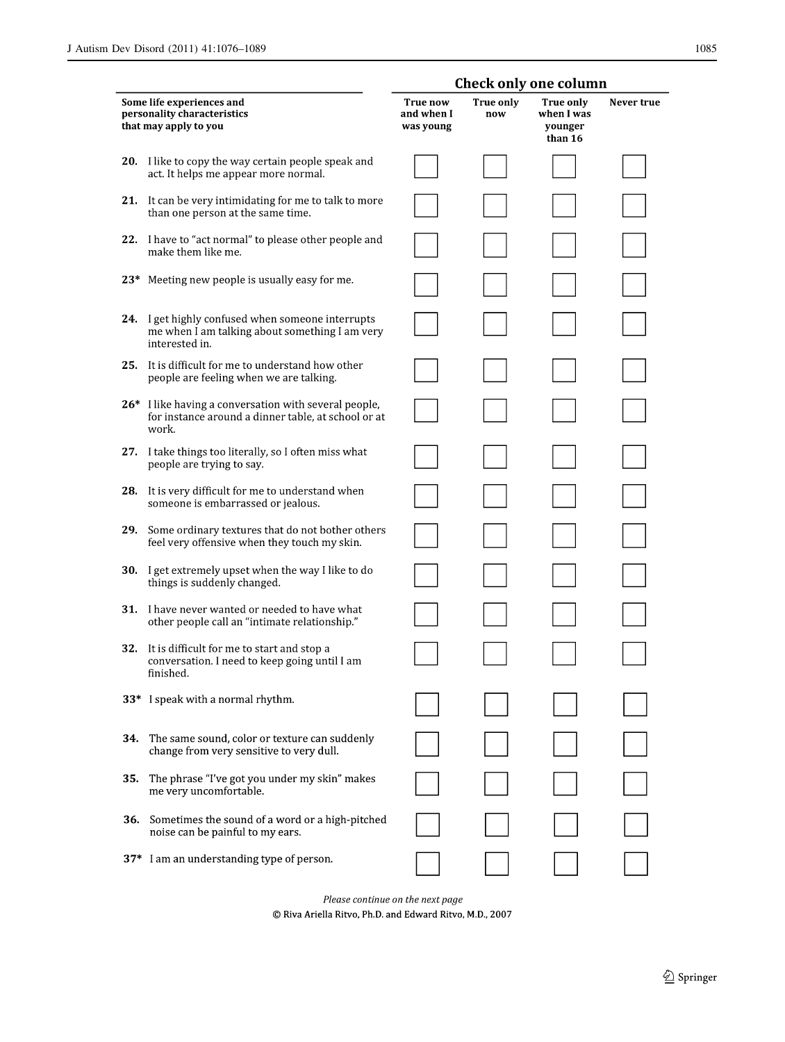|       |                                                                                                                       |                                     |                  | <b>Check only one column</b>                  |            |
|-------|-----------------------------------------------------------------------------------------------------------------------|-------------------------------------|------------------|-----------------------------------------------|------------|
|       | Some life experiences and<br>personality characteristics<br>that may apply to you                                     | True now<br>and when I<br>was young | True only<br>now | True only<br>when I was<br>younger<br>than 16 | Never true |
|       | <b>20.</b> I like to copy the way certain people speak and<br>act. It helps me appear more normal.                    |                                     |                  |                                               |            |
| 21.   | It can be very intimidating for me to talk to more<br>than one person at the same time.                               |                                     |                  |                                               |            |
|       | 22. I have to "act normal" to please other people and<br>make them like me.                                           |                                     |                  |                                               |            |
| $23*$ | Meeting new people is usually easy for me.                                                                            |                                     |                  |                                               |            |
| 24.   | I get highly confused when someone interrupts<br>me when I am talking about something I am very<br>interested in.     |                                     |                  |                                               |            |
|       | 25. It is difficult for me to understand how other<br>people are feeling when we are talking.                         |                                     |                  |                                               |            |
|       | 26* I like having a conversation with several people,<br>for instance around a dinner table, at school or at<br>work. |                                     |                  |                                               |            |
| 27.   | I take things too literally, so I often miss what<br>people are trying to say.                                        |                                     |                  |                                               |            |
| 28.   | It is very difficult for me to understand when<br>someone is embarrassed or jealous.                                  |                                     |                  |                                               |            |
| 29.   | Some ordinary textures that do not bother others<br>feel very offensive when they touch my skin.                      |                                     |                  |                                               |            |
| 30.   | I get extremely upset when the way I like to do<br>things is suddenly changed.                                        |                                     |                  |                                               |            |
| 31.   | I have never wanted or needed to have what<br>other people call an "intimate relationship."                           |                                     |                  |                                               |            |
| 32.   | It is difficult for me to start and stop a<br>conversation. I need to keep going until I am<br>finished.              |                                     |                  |                                               |            |
|       | 33* I speak with a normal rhythm.                                                                                     |                                     |                  |                                               |            |
| 34.   | The same sound, color or texture can suddenly<br>change from very sensitive to very dull.                             |                                     |                  |                                               |            |
| 35.   | The phrase "I've got you under my skin" makes<br>me very uncomfortable.                                               |                                     |                  |                                               |            |
|       | 36. Sometimes the sound of a word or a high-pitched<br>noise can be painful to my ears.                               |                                     |                  |                                               |            |
|       | 37* I am an understanding type of person.                                                                             |                                     |                  |                                               |            |

Please continue on the next page

© Riva Ariella Ritvo, Ph.D. and Edward Ritvo, M.D., 2007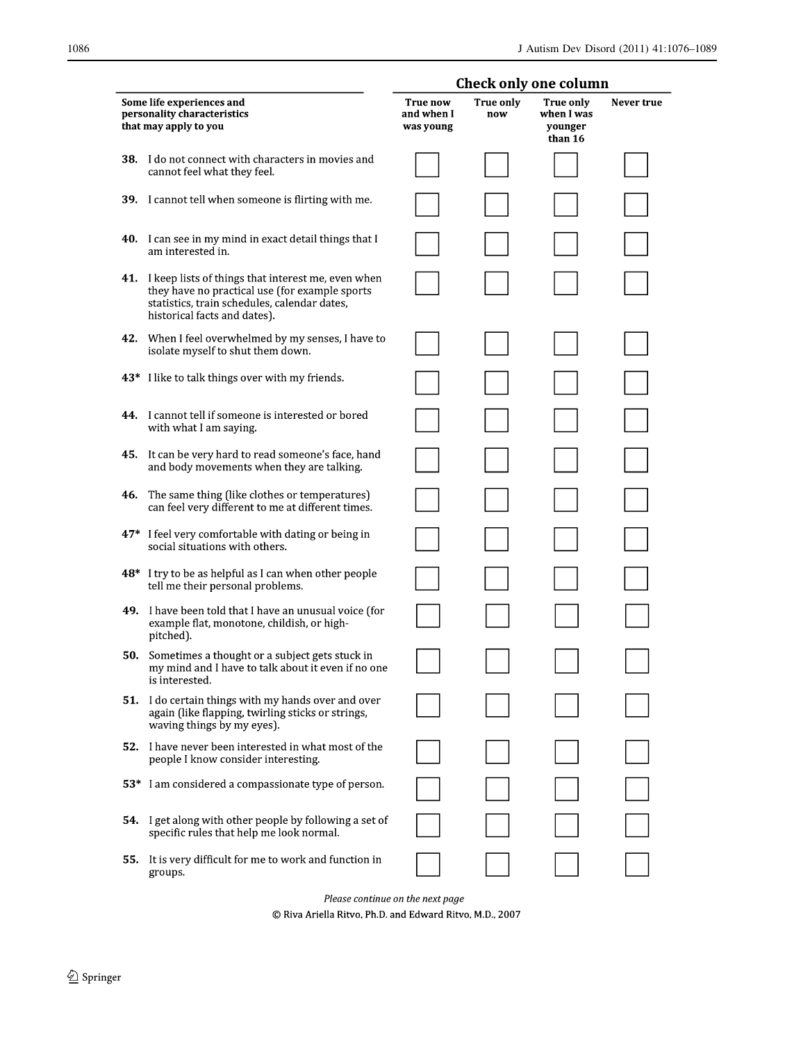|     |                                                                                                                                                                                      |                                     |                  | Check only one column                         |            |
|-----|--------------------------------------------------------------------------------------------------------------------------------------------------------------------------------------|-------------------------------------|------------------|-----------------------------------------------|------------|
|     | Some life experiences and<br>personality characteristics<br>that may apply to you                                                                                                    | True now<br>and when I<br>was young | True only<br>now | True only<br>when I was<br>younger<br>than 16 | Never true |
|     | <b>38.</b> I do not connect with characters in movies and<br>cannot feel what they feel.                                                                                             |                                     |                  |                                               |            |
|     | 39. I cannot tell when someone is flirting with me.                                                                                                                                  |                                     |                  |                                               |            |
|     | 40. I can see in my mind in exact detail things that I<br>am interested in.                                                                                                          |                                     |                  |                                               |            |
| 41. | I keep lists of things that interest me, even when<br>they have no practical use (for example sports<br>statistics, train schedules, calendar dates,<br>historical facts and dates). |                                     |                  |                                               |            |
| 42. | When I feel overwhelmed by my senses, I have to<br>isolate myself to shut them down.                                                                                                 |                                     |                  |                                               |            |
|     | 43* I like to talk things over with my friends.                                                                                                                                      |                                     |                  |                                               |            |
|     | 44. I cannot tell if someone is interested or bored<br>with what I am saying.                                                                                                        |                                     |                  |                                               |            |
| 45. | It can be very hard to read someone's face, hand<br>and body movements when they are talking.                                                                                        |                                     |                  |                                               |            |
| 46. | The same thing (like clothes or temperatures)<br>can feel very different to me at different times.                                                                                   |                                     |                  |                                               |            |
|     | 47* I feel very comfortable with dating or being in<br>social situations with others.                                                                                                |                                     |                  |                                               |            |
|     | 48* I try to be as helpful as I can when other people<br>tell me their personal problems.                                                                                            |                                     |                  |                                               |            |
| 49. | I have been told that I have an unusual voice (for<br>example flat, monotone, childish, or high-<br>pitched).                                                                        |                                     |                  |                                               |            |
| 50. | Sometimes a thought or a subject gets stuck in<br>my mind and I have to talk about it even if no one<br>is interested.                                                               |                                     |                  |                                               |            |
| 51. | I do certain things with my hands over and over<br>again (like flapping, twirling sticks or strings,<br>waving things by my eyes).                                                   |                                     |                  |                                               |            |
| 52. | I have never been interested in what most of the<br>people I know consider interesting.                                                                                              |                                     |                  |                                               |            |
|     | 53* I am considered a compassionate type of person.                                                                                                                                  |                                     |                  |                                               |            |
| 54. | I get along with other people by following a set of<br>specific rules that help me look normal.                                                                                      |                                     |                  |                                               |            |
| 55. | It is very difficult for me to work and function in<br>groups.                                                                                                                       |                                     |                  |                                               |            |

Please continue on the next page

© Riva Ariella Ritvo, Ph.D. and Edward Ritvo, M.D., 2007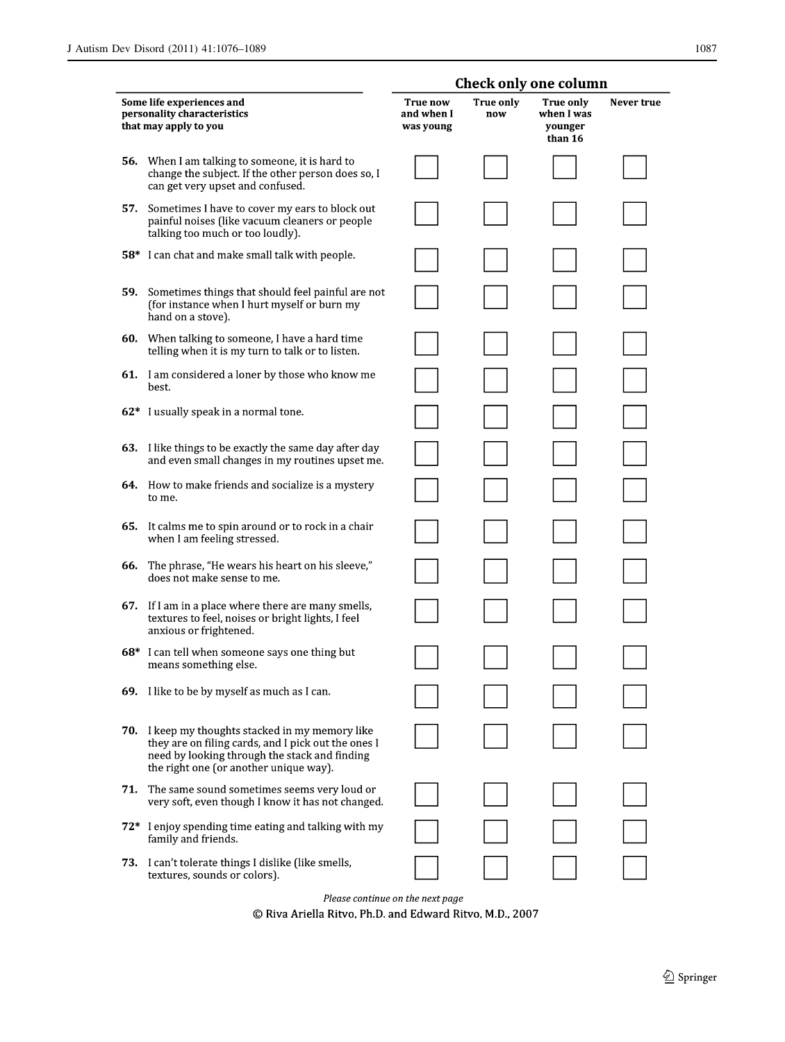|     |                                                                                                                                                                                                    | <b>Check only one column</b>        |                  |                                                      |            |  |  |
|-----|----------------------------------------------------------------------------------------------------------------------------------------------------------------------------------------------------|-------------------------------------|------------------|------------------------------------------------------|------------|--|--|
|     | Some life experiences and<br>personality characteristics<br>that may apply to you                                                                                                                  | True now<br>and when I<br>was young | True only<br>now | <b>True only</b><br>when I was<br>younger<br>than 16 | Never true |  |  |
|     | <b>56.</b> When I am talking to someone, it is hard to<br>change the subject. If the other person does so, I<br>can get very upset and confused.                                                   |                                     |                  |                                                      |            |  |  |
| 57. | Sometimes I have to cover my ears to block out<br>painful noises (like vacuum cleaners or people<br>talking too much or too loudly).                                                               |                                     |                  |                                                      |            |  |  |
|     | 58* I can chat and make small talk with people.                                                                                                                                                    |                                     |                  |                                                      |            |  |  |
| 59. | Sometimes things that should feel painful are not<br>(for instance when I hurt myself or burn my<br>hand on a stove).                                                                              |                                     |                  |                                                      |            |  |  |
|     | 60. When talking to someone, I have a hard time<br>telling when it is my turn to talk or to listen.                                                                                                |                                     |                  |                                                      |            |  |  |
|     | 61. I am considered a loner by those who know me<br>best.                                                                                                                                          |                                     |                  |                                                      |            |  |  |
|     | 62* I usually speak in a normal tone.                                                                                                                                                              |                                     |                  |                                                      |            |  |  |
|     | 63. I like things to be exactly the same day after day<br>and even small changes in my routines upset me.                                                                                          |                                     |                  |                                                      |            |  |  |
|     | 64. How to make friends and socialize is a mystery<br>to me.                                                                                                                                       |                                     |                  |                                                      |            |  |  |
|     | 65. It calms me to spin around or to rock in a chair<br>when I am feeling stressed.                                                                                                                |                                     |                  |                                                      |            |  |  |
|     | <b>66.</b> The phrase, "He wears his heart on his sleeve,"<br>does not make sense to me.                                                                                                           |                                     |                  |                                                      |            |  |  |
| 67. | If I am in a place where there are many smells,<br>textures to feel, noises or bright lights, I feel<br>anxious or frightened.                                                                     |                                     |                  |                                                      |            |  |  |
|     | 68* I can tell when someone says one thing but<br>means something else.                                                                                                                            |                                     |                  |                                                      |            |  |  |
|     | 69. I like to be by myself as much as I can.                                                                                                                                                       |                                     |                  |                                                      |            |  |  |
|     | 70. I keep my thoughts stacked in my memory like<br>they are on filing cards, and I pick out the ones I<br>need by looking through the stack and finding<br>the right one (or another unique way). |                                     |                  |                                                      |            |  |  |
| 71. | The same sound sometimes seems very loud or<br>very soft, even though I know it has not changed.                                                                                                   |                                     |                  |                                                      |            |  |  |
|     | 72* I enjoy spending time eating and talking with my<br>family and friends.                                                                                                                        |                                     |                  |                                                      |            |  |  |
|     | 73. I can't tolerate things I dislike (like smells,<br>textures, sounds or colors).                                                                                                                |                                     |                  |                                                      |            |  |  |

Please continue on the next page

© Riva Ariella Ritvo, Ph.D. and Edward Ritvo, M.D., 2007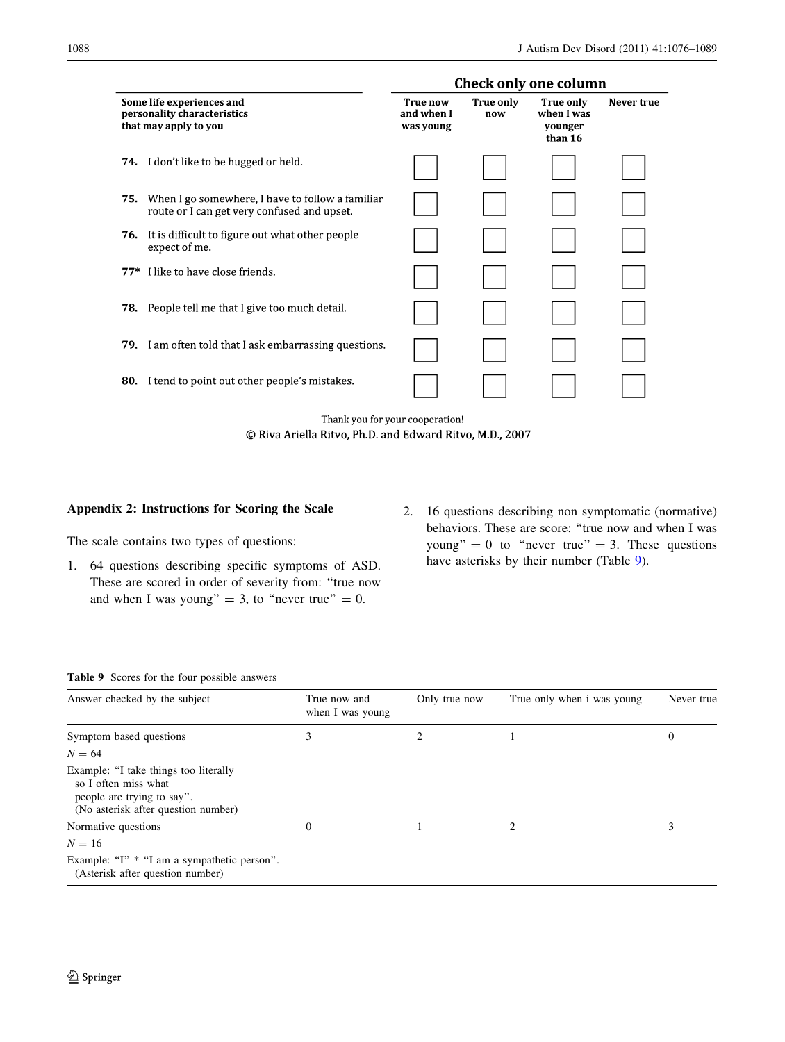<span id="page-12-0"></span>

|                                                                                   |                                                                                                 | Check only one column               |                  |                                                      |            |
|-----------------------------------------------------------------------------------|-------------------------------------------------------------------------------------------------|-------------------------------------|------------------|------------------------------------------------------|------------|
| Some life experiences and<br>personality characteristics<br>that may apply to you |                                                                                                 | True now<br>and when I<br>was young | True only<br>now | <b>True only</b><br>when I was<br>younger<br>than 16 | Never true |
|                                                                                   | <b>74.</b> I don't like to be hugged or held.                                                   |                                     |                  |                                                      |            |
| 75.                                                                               | When I go somewhere, I have to follow a familiar<br>route or I can get very confused and upset. |                                     |                  |                                                      |            |
| 76.                                                                               | It is difficult to figure out what other people<br>expect of me.                                |                                     |                  |                                                      |            |
| 77*                                                                               | I like to have close friends.                                                                   |                                     |                  |                                                      |            |
| 78.                                                                               | People tell me that I give too much detail.                                                     |                                     |                  |                                                      |            |
|                                                                                   | <b>79.</b> I am often told that I ask embarrassing questions.                                   |                                     |                  |                                                      |            |
| 80.                                                                               | I tend to point out other people's mistakes.                                                    |                                     |                  |                                                      |            |

Thank you for your cooperation! © Riva Ariella Ritvo, Ph.D. and Edward Ritvo, M.D., 2007

# Appendix 2: Instructions for Scoring the Scale

The scale contains two types of questions:

- 1. 64 questions describing specific symptoms of ASD. These are scored in order of severity from: ''true now and when I was young" = 3, to "never true" =  $0$ .
- 2. 16 questions describing non symptomatic (normative) behaviors. These are score: "true now and when I was young" = 0 to "never true" = 3. These questions have asterisks by their number (Table 9).

Table 9 Scores for the four possible answers

| Answer checked by the subject                                                                                                      | True now and<br>when I was young | Only true now | True only when i was young | Never true   |
|------------------------------------------------------------------------------------------------------------------------------------|----------------------------------|---------------|----------------------------|--------------|
| Symptom based questions                                                                                                            | 3                                |               |                            | $\mathbf{0}$ |
| $N = 64$                                                                                                                           |                                  |               |                            |              |
| Example: "I take things too literally<br>so I often miss what<br>people are trying to say".<br>(No asterisk after question number) |                                  |               |                            |              |
| Normative questions                                                                                                                | $\theta$                         |               | $\overline{c}$             | 3            |
| $N = 16$                                                                                                                           |                                  |               |                            |              |
| Example: " $I$ " * "I am a sympathetic person".<br>(Asterisk after question number)                                                |                                  |               |                            |              |